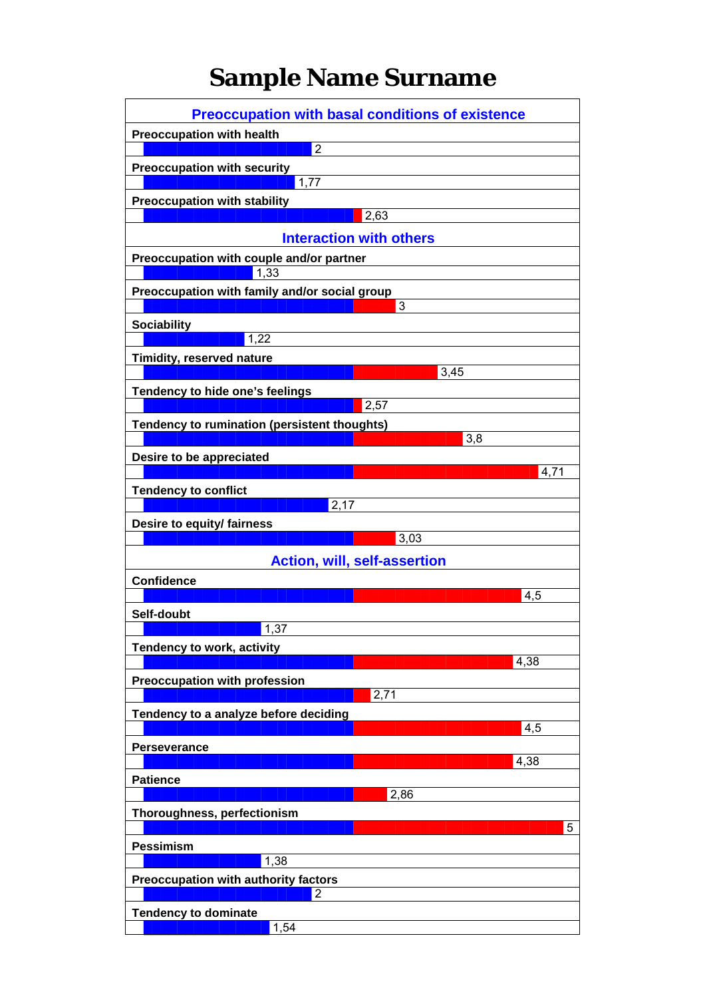## **Sample Name Surname**

| <b>Preoccupation with basal conditions of existence</b>        |      |
|----------------------------------------------------------------|------|
| <b>Preoccupation with health</b>                               |      |
| $\overline{2}$                                                 |      |
| <b>Preoccupation with security</b>                             |      |
| 1,77                                                           |      |
| <b>Preoccupation with stability</b><br>2,63                    |      |
|                                                                |      |
| <b>Interaction with others</b>                                 |      |
| Preoccupation with couple and/or partner<br>$\overline{1}, 33$ |      |
| Preoccupation with family and/or social group                  |      |
| 3                                                              |      |
| <b>Sociability</b>                                             |      |
| 1,22                                                           |      |
| Timidity, reserved nature<br>3,45                              |      |
|                                                                |      |
| Tendency to hide one's feelings<br>2,57                        |      |
| Tendency to rumination (persistent thoughts)                   |      |
| 3,8                                                            |      |
| Desire to be appreciated                                       |      |
|                                                                | 4,71 |
| <b>Tendency to conflict</b>                                    |      |
| 2,17                                                           |      |
| Desire to equity/ fairness                                     |      |
| 3,03                                                           |      |
| <b>Action, will, self-assertion</b>                            |      |
| <b>Confidence</b>                                              |      |
|                                                                | 4,5  |
| Self-doubt<br>1,37                                             |      |
|                                                                |      |
| Tendency to work, activity                                     | 4,38 |
| <b>Preoccupation with profession</b>                           |      |
| 2,71                                                           |      |
| Tendency to a analyze before deciding                          |      |
|                                                                | 4,5  |
| <b>Perseverance</b>                                            |      |
|                                                                | 4,38 |
| <b>Patience</b>                                                |      |
| 2,86                                                           |      |
| Thoroughness, perfectionism                                    | 5    |
| <b>Pessimism</b>                                               |      |
| 1,38                                                           |      |
| Preoccupation with authority factors                           |      |
| $\overline{2}$                                                 |      |
| <b>Tendency to dominate</b>                                    |      |
| 1,54                                                           |      |